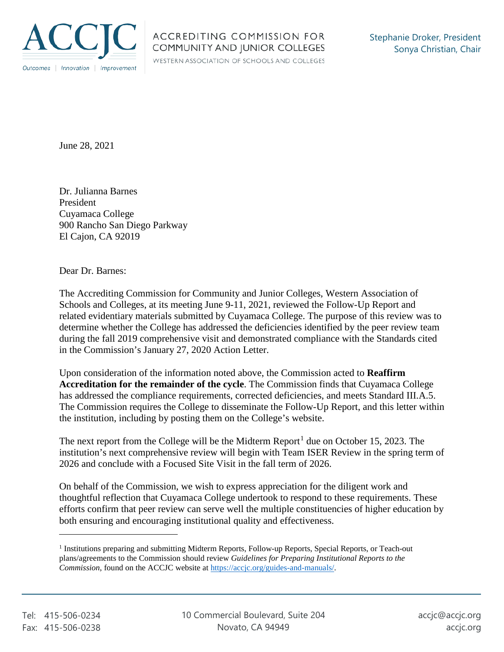

WESTERN ASSOCIATION OF SCHOOLS AND COLLEGES

June 28, 2021

 Dr. Julianna Barnes President Cuyamaca College 900 Rancho San Diego Parkway El Cajon, CA 92019

Dear Dr. Barnes:

 determine whether the College has addressed the deficiencies identified by the peer review team The Accrediting Commission for Community and Junior Colleges, Western Association of Schools and Colleges, at its meeting June 9-11, 2021, reviewed the Follow-Up Report and related evidentiary materials submitted by Cuyamaca College. The purpose of this review was to during the fall 2019 comprehensive visit and demonstrated compliance with the Standards cited in the Commission's January 27, 2020 Action Letter.

Upon consideration of the information noted above, the Commission acted to **Reaffirm Accreditation for the remainder of the cycle**. The Commission finds that Cuyamaca College has addressed the compliance requirements, corrected deficiencies, and meets Standard III.A.5. The Commission requires the College to disseminate the Follow-Up Report, and this letter within the institution, including by posting them on the College's website.

The next report from the College will be the Midterm Report<sup>1</sup> due on October 15, 2023. The institution's next comprehensive review will begin with Team ISER Review in the spring term of 2026 and conclude with a Focused Site Visit in the fall term of 2026.

On behalf of the Commission, we wish to express appreciation for the diligent work and thoughtful reflection that Cuyamaca College undertook to respond to these requirements. These efforts confirm that peer review can serve well the multiple constituencies of higher education by both ensuring and encouraging institutional quality and effectiveness.

 $\overline{a}$ 

*Commission*, found on the ACCJC website at https://accjc.org/guides-and-manuals/. 1 Institutions preparing and submitting Midterm Reports, Follow-up Reports, Special Reports, or Teach-out plans/agreements to the Commission should review *Guidelines for Preparing Institutional Reports to the*